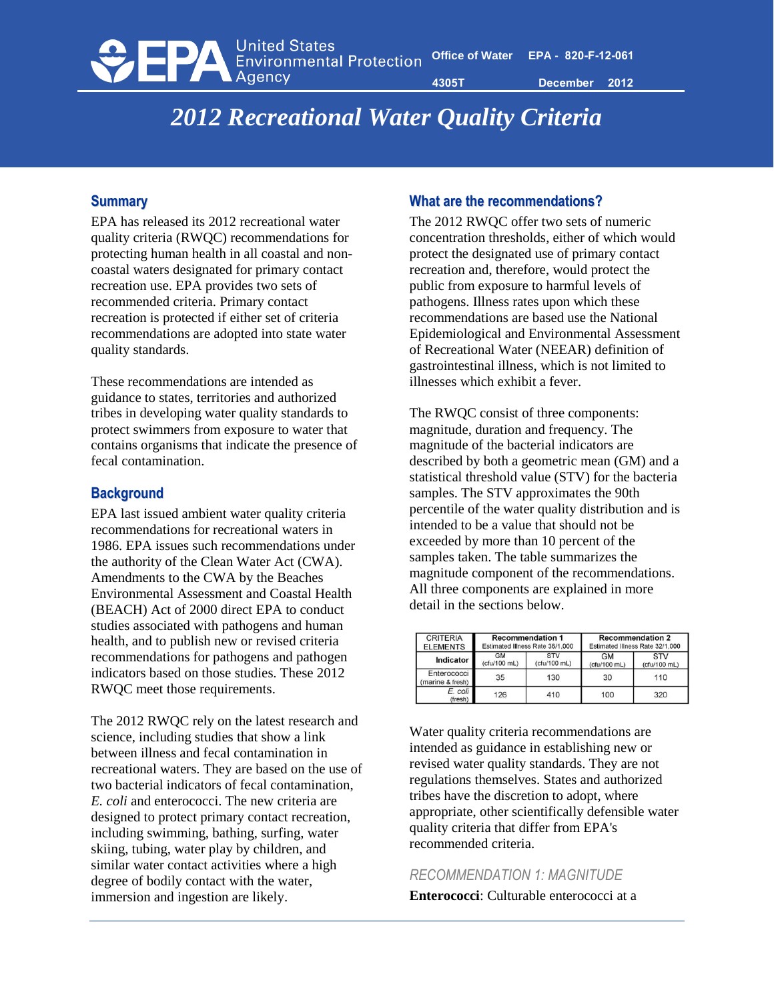**United States DEPA** Environmental Protection

**4305T December 2012**

# *2012 Recreational Water Quality Criteria*

# **Summary**

EPA has released its 2012 recreational water quality criteria (RWQC) recommendations for protecting human health in all coastal and noncoastal waters designated for primary contact recreation use. EPA provides two sets of recommended criteria. Primary contact recreation is protected if either set of criteria recommendations are adopted into state water quality standards.

These recommendations are intended as guidance to states, territories and authorized tribes in developing water quality standards to protect swimmers from exposure to water that contains organisms that indicate the presence of fecal contamination.

## **Background**

EPA last issued ambient water quality criteria recommendations for recreational waters in 1986. EPA issues such recommendations under the authority of the Clean Water Act (CWA). Amendments to the CWA by the Beaches Environmental Assessment and Coastal Health (BEACH) Act of 2000 direct EPA to conduct studies associated with pathogens and human health, and to publish new or revised criteria recommendations for pathogens and pathogen indicators based on those studies. These 2012 RWQC meet those requirements.

The 2012 RWQC rely on the latest research and science, including studies that show a link between illness and fecal contamination in recreational waters. They are based on the use of two bacterial indicators of fecal contamination, *E. coli* and enterococci. The new criteria are designed to protect primary contact recreation, including swimming, bathing, surfing, water skiing, tubing, water play by children, and similar water contact activities where a high degree of bodily contact with the water, immersion and ingestion are likely.

## **What are the recommendations?**

The 2012 RWQC offer two sets of numeric concentration thresholds, either of which would protect the designated use of primary contact recreation and, therefore, would protect the public from exposure to harmful levels of pathogens. Illness rates upon which these recommendations are based use the National Epidemiological and Environmental Assessment of Recreational Water (NEEAR) definition of gastrointestinal illness, which is not limited to illnesses which exhibit a fever.

The RWQC consist of three components: magnitude, duration and frequency. The magnitude of the bacterial indicators are described by both a geometric mean (GM) and a statistical threshold value (STV) for the bacteria samples. The STV approximates the 90th percentile of the water quality distribution and is intended to be a value that should not be exceeded by more than 10 percent of the samples taken. The table summarizes the magnitude component of the recommendations. All three components are explained in more detail in the sections below.

| <b>CRITERIA</b>                 | <b>Recommendation 1</b>         |              | <b>Recommendation 2</b>         |              |
|---------------------------------|---------------------------------|--------------|---------------------------------|--------------|
| <b>ELEMENTS</b>                 | Estimated Illness Rate 36/1,000 |              | Estimated Illness Rate 32/1,000 |              |
| Indicator                       | <b>GM</b>                       | <b>STV</b>   | <b>GM</b>                       | <b>STV</b>   |
|                                 | (cfu/100 mL)                    | (cfu/100 mL) | (cfu/100 mL)                    | (cfu/100 mL) |
| Enterococci<br>(marine & fresh) | 35                              | 130          | 30                              | 110          |
| E. coli<br>(fresh)              | 126                             | 410          | 100                             | 320          |

Water quality criteria recommendations are intended as guidance in establishing new or revised water quality standards. They are not regulations themselves. States and authorized tribes have the discretion to adopt, where appropriate, other scientifically defensible water quality criteria that differ from EPA's recommended criteria.

# *RECOMMENDATION 1: MAGNITUDE*

**Enterococci**: Culturable enterococci at a